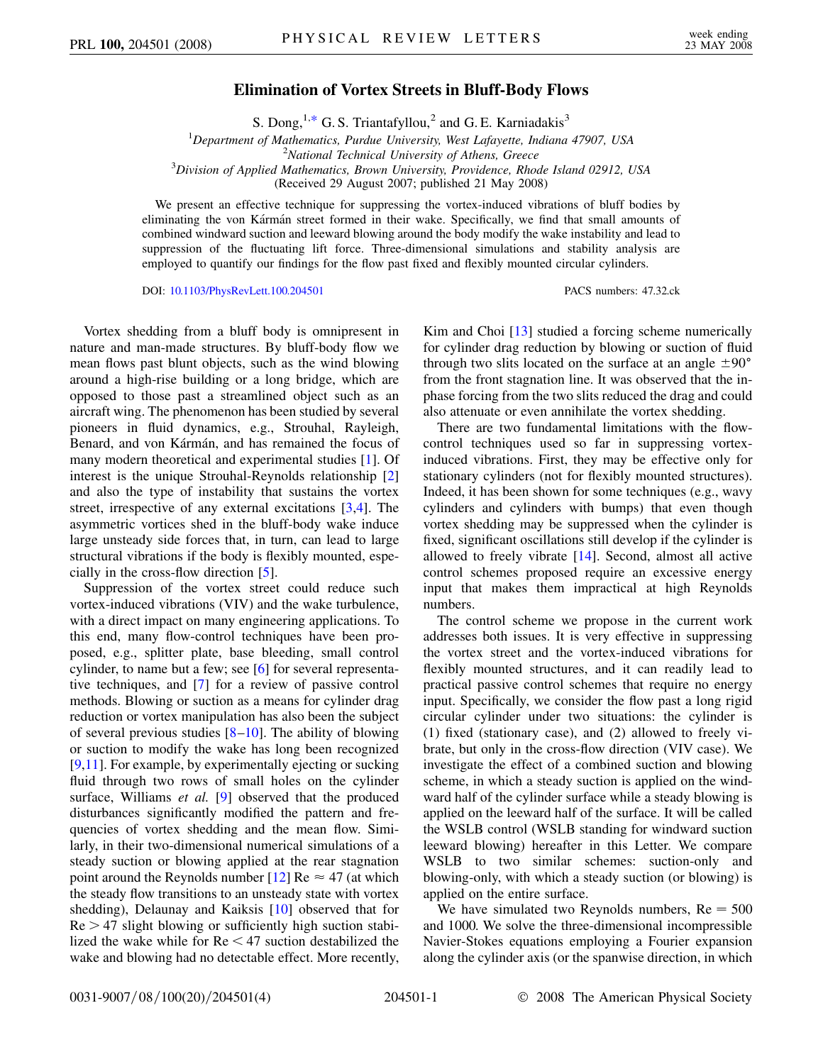## **Elimination of Vortex Streets in Bluff-Body Flows**

S. Dong,<sup>1[,\\*](#page-3-0)</sup> G. S. Triantafyllou,<sup>2</sup> and G. E. Karniadakis<sup>3</sup>

<sup>1</sup>Department of Mathematics, Purdue University, West Lafayette, Indiana 47907, USA<br><sup>2</sup>National Technical University of Athens Greece

<span id="page-0-0"></span>*National Technical University of Athens, Greece* <sup>3</sup> *Division of Applied Mathematics, Brown University, Providence, Rhode Island 02912, USA*

(Received 29 August 2007; published 21 May 2008)

We present an effective technique for suppressing the vortex-induced vibrations of bluff bodies by eliminating the von Kármán street formed in their wake. Specifically, we find that small amounts of combined windward suction and leeward blowing around the body modify the wake instability and lead to suppression of the fluctuating lift force. Three-dimensional simulations and stability analysis are employed to quantify our findings for the flow past fixed and flexibly mounted circular cylinders.

DOI: [10.1103/PhysRevLett.100.204501](http://dx.doi.org/10.1103/PhysRevLett.100.204501) PACS numbers: 47.32.ck

Vortex shedding from a bluff body is omnipresent in nature and man-made structures. By bluff-body flow we mean flows past blunt objects, such as the wind blowing around a high-rise building or a long bridge, which are opposed to those past a streamlined object such as an aircraft wing. The phenomenon has been studied by several pioneers in fluid dynamics, e.g., Strouhal, Rayleigh, Benard, and von Kármán, and has remained the focus of many modern theoretical and experimental studies [[1](#page-3-1)]. Of interest is the unique Strouhal-Reynolds relationship [\[2\]](#page-3-2) and also the type of instability that sustains the vortex street, irrespective of any external excitations [\[3,](#page-3-3)[4](#page-3-4)]. The asymmetric vortices shed in the bluff-body wake induce large unsteady side forces that, in turn, can lead to large structural vibrations if the body is flexibly mounted, especially in the cross-flow direction [[5\]](#page-3-5).

Suppression of the vortex street could reduce such vortex-induced vibrations (VIV) and the wake turbulence, with a direct impact on many engineering applications. To this end, many flow-control techniques have been proposed, e.g., splitter plate, base bleeding, small control cylinder, to name but a few; see [[6](#page-3-6)] for several representative techniques, and [\[7](#page-3-7)] for a review of passive control methods. Blowing or suction as a means for cylinder drag reduction or vortex manipulation has also been the subject of several previous studies  $[8-10]$  $[8-10]$  $[8-10]$ . The ability of blowing or suction to modify the wake has long been recognized [\[9,](#page-3-10)[11\]](#page-3-11). For example, by experimentally ejecting or sucking fluid through two rows of small holes on the cylinder surface, Williams *et al.* [[9](#page-3-10)] observed that the produced disturbances significantly modified the pattern and frequencies of vortex shedding and the mean flow. Similarly, in their two-dimensional numerical simulations of a steady suction or blowing applied at the rear stagnation point around the Reynolds number [[12\]](#page-3-12) Re  $\approx$  47 (at which the steady flow transitions to an unsteady state with vortex shedding), Delaunay and Kaiksis [[10](#page-3-9)] observed that for Re *>* 47 slight blowing or sufficiently high suction stabilized the wake while for Re *<* 47 suction destabilized the wake and blowing had no detectable effect. More recently, Kim and Choi [[13\]](#page-3-13) studied a forcing scheme numerically for cylinder drag reduction by blowing or suction of fluid through two slits located on the surface at an angle  $\pm 90^{\circ}$ from the front stagnation line. It was observed that the inphase forcing from the two slits reduced the drag and could also attenuate or even annihilate the vortex shedding.

There are two fundamental limitations with the flowcontrol techniques used so far in suppressing vortexinduced vibrations. First, they may be effective only for stationary cylinders (not for flexibly mounted structures). Indeed, it has been shown for some techniques (e.g., wavy cylinders and cylinders with bumps) that even though vortex shedding may be suppressed when the cylinder is fixed, significant oscillations still develop if the cylinder is allowed to freely vibrate [[14](#page-3-14)]. Second, almost all active control schemes proposed require an excessive energy input that makes them impractical at high Reynolds numbers.

The control scheme we propose in the current work addresses both issues. It is very effective in suppressing the vortex street and the vortex-induced vibrations for flexibly mounted structures, and it can readily lead to practical passive control schemes that require no energy input. Specifically, we consider the flow past a long rigid circular cylinder under two situations: the cylinder is (1) fixed (stationary case), and (2) allowed to freely vibrate, but only in the cross-flow direction (VIV case). We investigate the effect of a combined suction and blowing scheme, in which a steady suction is applied on the windward half of the cylinder surface while a steady blowing is applied on the leeward half of the surface. It will be called the WSLB control (WSLB standing for windward suction leeward blowing) hereafter in this Letter. We compare WSLB to two similar schemes: suction-only and blowing-only, with which a steady suction (or blowing) is applied on the entire surface.

We have simulated two Reynolds numbers,  $Re = 500$ and 1000. We solve the three-dimensional incompressible Navier-Stokes equations employing a Fourier expansion along the cylinder axis (or the spanwise direction, in which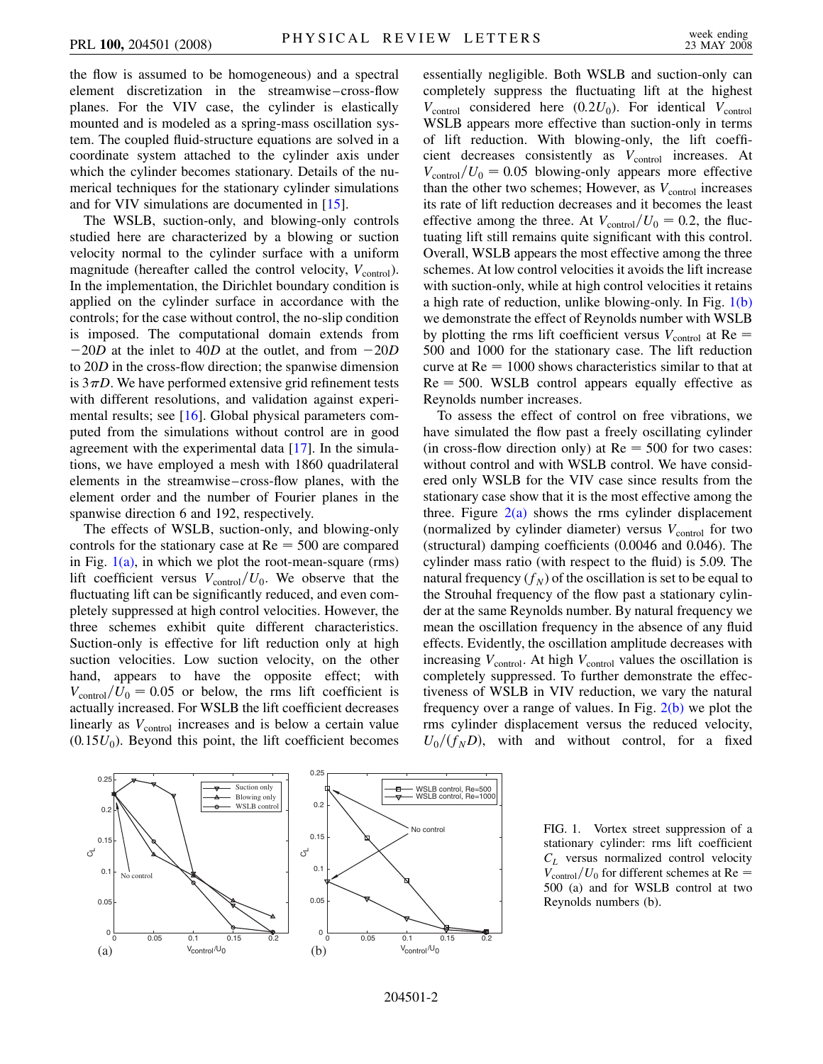the flow is assumed to be homogeneous) and a spectral element discretization in the streamwise–cross-flow planes. For the VIV case, the cylinder is elastically mounted and is modeled as a spring-mass oscillation system. The coupled fluid-structure equations are solved in a coordinate system attached to the cylinder axis under which the cylinder becomes stationary. Details of the numerical techniques for the stationary cylinder simulations and for VIV simulations are documented in [\[15\]](#page-3-15).

The WSLB, suction-only, and blowing-only controls studied here are characterized by a blowing or suction velocity normal to the cylinder surface with a uniform magnitude (hereafter called the control velocity,  $V_{control}$ ). In the implementation, the Dirichlet boundary condition is applied on the cylinder surface in accordance with the controls; for the case without control, the no-slip condition is imposed. The computational domain extends from  $-20D$  at the inlet to 40*D* at the outlet, and from  $-20D$ to 20*D* in the cross-flow direction; the spanwise dimension is  $3\pi D$ . We have performed extensive grid refinement tests with different resolutions, and validation against experimental results; see [[16](#page-3-16)]. Global physical parameters computed from the simulations without control are in good agreement with the experimental data [\[17\]](#page-3-17). In the simulations, we have employed a mesh with 1860 quadrilateral elements in the streamwise–cross-flow planes, with the element order and the number of Fourier planes in the spanwise direction 6 and 192, respectively.

The effects of WSLB, suction-only, and blowing-only controls for the stationary case at  $Re = 500$  are compared in Fig.  $1(a)$ , in which we plot the root-mean-square (rms) lift coefficient versus  $V_{\text{control}}/U_0$ . We observe that the fluctuating lift can be significantly reduced, and even completely suppressed at high control velocities. However, the three schemes exhibit quite different characteristics. Suction-only is effective for lift reduction only at high suction velocities. Low suction velocity, on the other hand, appears to have the opposite effect; with  $V_{\text{control}}/U_0 = 0.05$  or below, the rms lift coefficient is actually increased. For WSLB the lift coefficient decreases linearly as  $V_{control}$  increases and is below a certain value  $(0.15U<sub>0</sub>)$ . Beyond this point, the lift coefficient becomes essentially negligible. Both WSLB and suction-only can completely suppress the fluctuating lift at the highest  $V_{control}$  considered here  $(0.2U_0)$ . For identical  $V_{control}$ WSLB appears more effective than suction-only in terms of lift reduction. With blowing-only, the lift coefficient decreases consistently as  $V_{control}$  increases. At  $V_{\text{control}}/U_0 = 0.05$  blowing-only appears more effective than the other two schemes; However, as  $V_{control}$  increases its rate of lift reduction decreases and it becomes the least effective among the three. At  $V_{\text{control}}/U_0 = 0.2$ , the fluctuating lift still remains quite significant with this control. Overall, WSLB appears the most effective among the three schemes. At low control velocities it avoids the lift increase with suction-only, while at high control velocities it retains a high rate of reduction, unlike blowing-only. In Fig. [1\(b\)](#page-1-0) we demonstrate the effect of Reynolds number with WSLB by plotting the rms lift coefficient versus  $V_{control}$  at Re = 500 and 1000 for the stationary case. The lift reduction curve at  $Re = 1000$  shows characteristics similar to that at  $Re = 500$ . WSLB control appears equally effective as Reynolds number increases.

To assess the effect of control on free vibrations, we have simulated the flow past a freely oscillating cylinder (in cross-flow direction only) at  $Re = 500$  for two cases: without control and with WSLB control. We have considered only WSLB for the VIV case since results from the stationary case show that it is the most effective among the three. Figure  $2(a)$  shows the rms cylinder displacement (normalized by cylinder diameter) versus  $V_{control}$  for two (structural) damping coefficients (0.0046 and 0.046). The cylinder mass ratio (with respect to the fluid) is 5.09. The natural frequency  $(f_N)$  of the oscillation is set to be equal to the Strouhal frequency of the flow past a stationary cylinder at the same Reynolds number. By natural frequency we mean the oscillation frequency in the absence of any fluid effects. Evidently, the oscillation amplitude decreases with increasing  $V_{\text{control}}$ . At high  $V_{\text{control}}$  values the oscillation is completely suppressed. To further demonstrate the effectiveness of WSLB in VIV reduction, we vary the natural frequency over a range of values. In Fig.  $2(b)$  we plot the rms cylinder displacement versus the reduced velocity,  $U_0/(f_N D)$ , with and without control, for a fixed

<span id="page-1-0"></span>

FIG. 1. Vortex street suppression of a stationary cylinder: rms lift coefficient *CL* versus normalized control velocity  $V_{\text{control}}/U_0$  for different schemes at Re = 500 (a) and for WSLB control at two Reynolds numbers (b).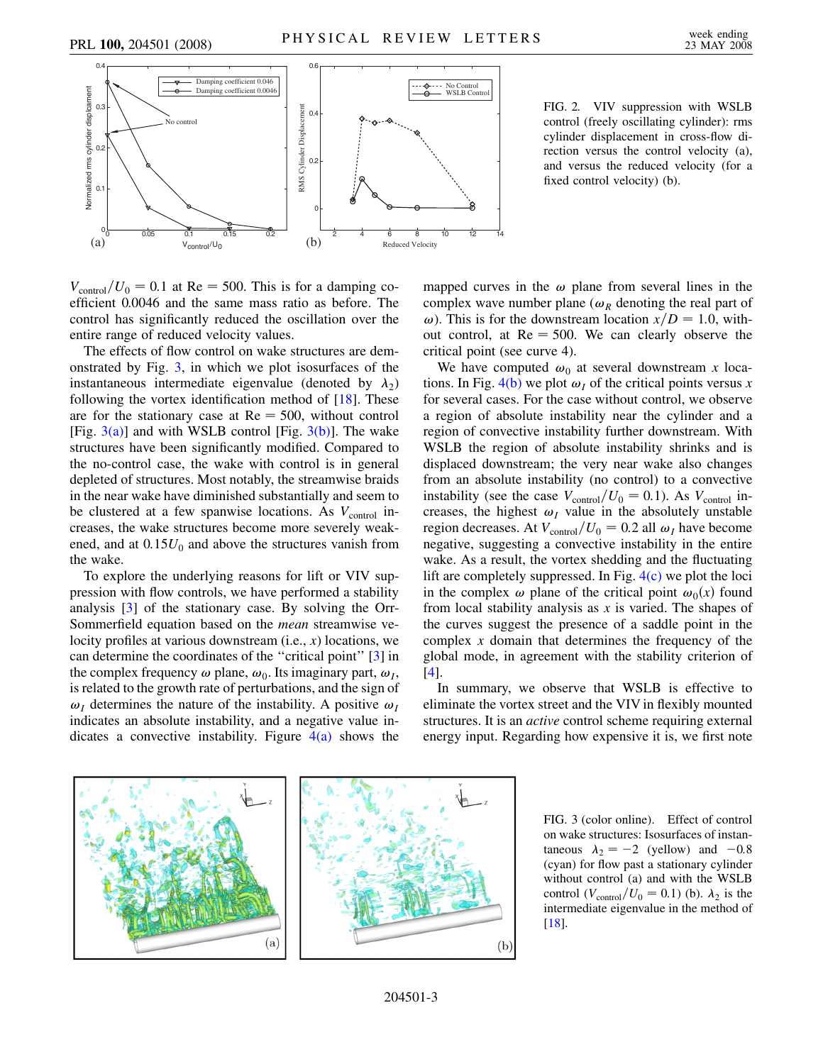

FIG. 2. VIV suppression with WSLB control (freely oscillating cylinder): rms cylinder displacement in cross-flow direction versus the control velocity (a), and versus the reduced velocity (for a fixed control velocity) (b).

<span id="page-2-0"></span> $V_{\text{control}}/U_0 = 0.1$  at Re = 500. This is for a damping coefficient 0.0046 and the same mass ratio as before. The control has significantly reduced the oscillation over the entire range of reduced velocity values.

The effects of flow control on wake structures are demonstrated by Fig. [3](#page-2-1), in which we plot isosurfaces of the instantaneous intermediate eigenvalue (denoted by  $\lambda_2$ ) following the vortex identification method of [[18](#page-3-18)]. These are for the stationary case at  $Re = 500$ , without control [Fig.  $3(a)$ ] and with WSLB control [Fig.  $3(b)$ ]. The wake structures have been significantly modified. Compared to the no-control case, the wake with control is in general depleted of structures. Most notably, the streamwise braids in the near wake have diminished substantially and seem to be clustered at a few spanwise locations. As  $V_{control}$  increases, the wake structures become more severely weakened, and at  $0.15U_0$  and above the structures vanish from the wake.

To explore the underlying reasons for lift or VIV suppression with flow controls, we have performed a stability analysis [[3](#page-3-3)] of the stationary case. By solving the Orr-Sommerfield equation based on the *mean* streamwise velocity profiles at various downstream (i.e., *x*) locations, we can determine the coordinates of the ''critical point'' [[3\]](#page-3-3) in the complex frequency  $\omega$  plane,  $\omega_0$ . Its imaginary part,  $\omega_I$ , is related to the growth rate of perturbations, and the sign of  $\omega_I$  determines the nature of the instability. A positive  $\omega_I$ indicates an absolute instability, and a negative value indicates a convective instability. Figure  $4(a)$  shows the mapped curves in the  $\omega$  plane from several lines in the complex wave number plane ( $\omega_R$  denoting the real part of  $\omega$ ). This is for the downstream location  $x/D = 1.0$ , without control, at  $Re = 500$ . We can clearly observe the critical point (see curve 4).

We have computed  $\omega_0$  at several downstream *x* locations. In Fig.  $4(b)$  we plot  $\omega_I$  of the critical points versus *x* for several cases. For the case without control, we observe a region of absolute instability near the cylinder and a region of convective instability further downstream. With WSLB the region of absolute instability shrinks and is displaced downstream; the very near wake also changes from an absolute instability (no control) to a convective instability (see the case  $V_{\text{control}}/U_0 = 0.1$ ). As  $V_{\text{control}}$  increases, the highest  $\omega_I$  value in the absolutely unstable region decreases. At  $V_{\text{control}}/U_0 = 0.2$  all  $\omega_I$  have become negative, suggesting a convective instability in the entire wake. As a result, the vortex shedding and the fluctuating lift are completely suppressed. In Fig.  $4(c)$  we plot the loci in the complex  $\omega$  plane of the critical point  $\omega_0(x)$  found from local stability analysis as *x* is varied. The shapes of the curves suggest the presence of a saddle point in the complex *x* domain that determines the frequency of the global mode, in agreement with the stability criterion of [\[4\]](#page-3-4).

In summary, we observe that WSLB is effective to eliminate the vortex street and the VIV in flexibly mounted structures. It is an *active* control scheme requiring external energy input. Regarding how expensive it is, we first note

<span id="page-2-2"></span><span id="page-2-1"></span>

FIG. 3 (color online). Effect of control on wake structures: Isosurfaces of instantaneous  $\lambda_2 = -2$  (yellow) and  $-0.8$ (cyan) for flow past a stationary cylinder without control (a) and with the WSLB control ( $V_{\text{control}}/U_0 = 0.1$ ) (b).  $\lambda_2$  is the intermediate eigenvalue in the method of [[18](#page-3-18)].